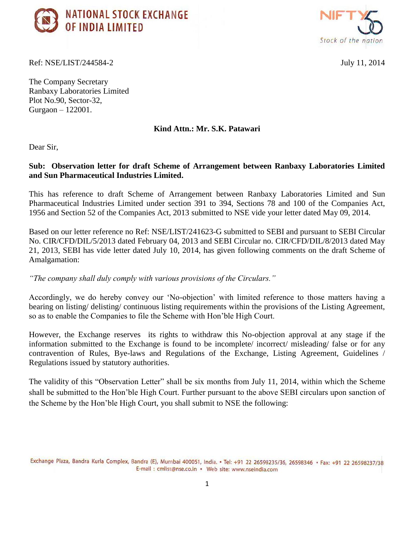



Ref: NSE/LIST/244584-2 July 11, 2014

The Company Secretary Ranbaxy Laboratories Limited Plot No.90, Sector-32, Gurgaon – 122001.

## **Kind Attn.: Mr. S.K. Patawari**

Dear Sir,

## **Sub: Observation letter for draft Scheme of Arrangement between Ranbaxy Laboratories Limited and Sun Pharmaceutical Industries Limited.**

This has reference to draft Scheme of Arrangement between Ranbaxy Laboratories Limited and Sun Pharmaceutical Industries Limited under section 391 to 394, Sections 78 and 100 of the Companies Act, 1956 and Section 52 of the Companies Act, 2013 submitted to NSE vide your letter dated May 09, 2014.

Based on our letter reference no Ref: NSE/LIST/241623-G submitted to SEBI and pursuant to SEBI Circular No. CIR/CFD/DIL/5/2013 dated February 04, 2013 and SEBI Circular no. CIR/CFD/DIL/8/2013 dated May 21, 2013, SEBI has vide letter dated July 10, 2014, has given following comments on the draft Scheme of Amalgamation:

*"The company shall duly comply with various provisions of the Circulars."*

Accordingly, we do hereby convey our "No-objection" with limited reference to those matters having a bearing on listing/ delisting/ continuous listing requirements within the provisions of the Listing Agreement, so as to enable the Companies to file the Scheme with Hon"ble High Court.

However, the Exchange reserves its rights to withdraw this No-objection approval at any stage if the information submitted to the Exchange is found to be incomplete/ incorrect/ misleading/ false or for any contravention of Rules, Bye-laws and Regulations of the Exchange, Listing Agreement, Guidelines / Regulations issued by statutory authorities.

The validity of this "Observation Letter" shall be six months from July 11, 2014, within which the Scheme shall be submitted to the Hon"ble High Court. Further pursuant to the above SEBI circulars upon sanction of the Scheme by the Hon"ble High Court, you shall submit to NSE the following: